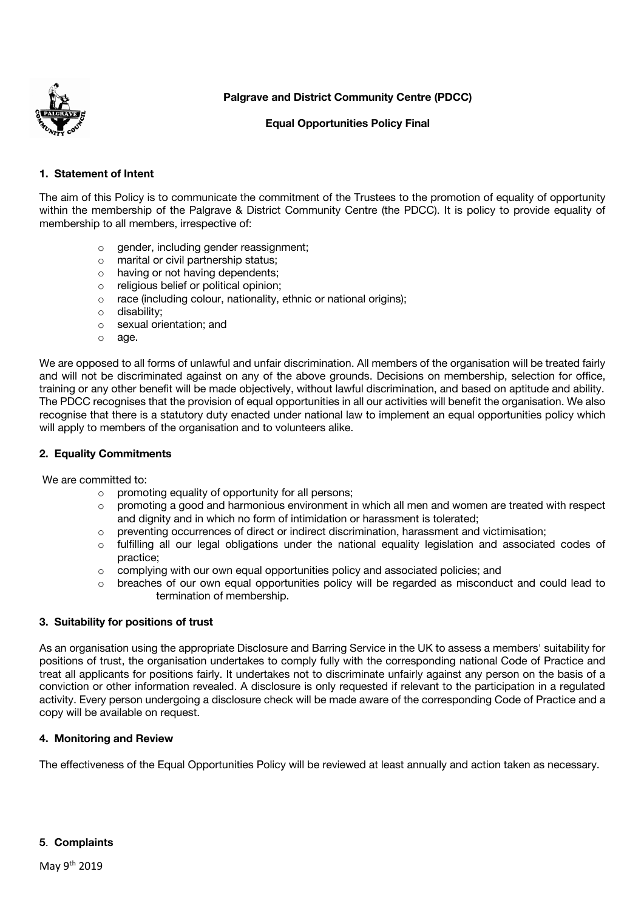

**Palgrave and District Community Centre (PDCC)**

### **Equal Opportunities Policy Final**

# **1. Statement of Intent**

The aim of this Policy is to communicate the commitment of the Trustees to the promotion of equality of opportunity within the membership of the Palgrave & District Community Centre (the PDCC). It is policy to provide equality of membership to all members, irrespective of:

- o gender, including gender reassignment;
- o marital or civil partnership status;
- o having or not having dependents;
- o religious belief or political opinion;
- o race (including colour, nationality, ethnic or national origins);
- o disability;
- o sexual orientation; and
- o age.

We are opposed to all forms of unlawful and unfair discrimination. All members of the organisation will be treated fairly and will not be discriminated against on any of the above grounds. Decisions on membership, selection for office, training or any other benefit will be made objectively, without lawful discrimination, and based on aptitude and ability. The PDCC recognises that the provision of equal opportunities in all our activities will benefit the organisation. We also recognise that there is a statutory duty enacted under national law to implement an equal opportunities policy which will apply to members of the organisation and to volunteers alike.

### **2. Equality Commitments**

We are committed to:

- o promoting equality of opportunity for all persons;
- $\circ$  promoting a good and harmonious environment in which all men and women are treated with respect and dignity and in which no form of intimidation or harassment is tolerated;
- o preventing occurrences of direct or indirect discrimination, harassment and victimisation;
- o fulfilling all our legal obligations under the national equality legislation and associated codes of practice;
- $\circ$  complying with our own equal opportunities policy and associated policies; and
- $\circ$  breaches of our own equal opportunities policy will be regarded as misconduct and could lead to termination of membership.

#### **3. Suitability for positions of trust**

As an organisation using the appropriate Disclosure and Barring Service in the UK to assess a members' suitability for positions of trust, the organisation undertakes to comply fully with the corresponding national Code of Practice and treat all applicants for positions fairly. It undertakes not to discriminate unfairly against any person on the basis of a conviction or other information revealed. A disclosure is only requested if relevant to the participation in a regulated activity. Every person undergoing a disclosure check will be made aware of the corresponding Code of Practice and a copy will be available on request.

#### **4. Monitoring and Review**

The effectiveness of the Equal Opportunities Policy will be reviewed at least annually and action taken as necessary.